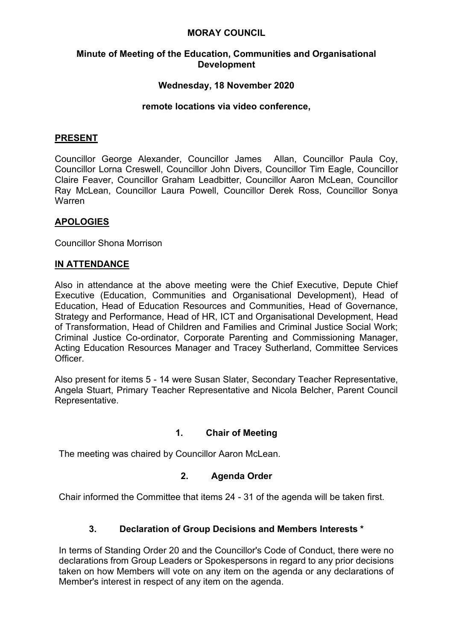### **MORAY COUNCIL**

#### **Minute of Meeting of the Education, Communities and Organisational Development**

## **Wednesday, 18 November 2020**

#### **remote locations via video conference,**

### **PRESENT**

Councillor George Alexander, Councillor James Allan, Councillor Paula Coy, Councillor Lorna Creswell, Councillor John Divers, Councillor Tim Eagle, Councillor Claire Feaver, Councillor Graham Leadbitter, Councillor Aaron McLean, Councillor Ray McLean, Councillor Laura Powell, Councillor Derek Ross, Councillor Sonya Warren

## **APOLOGIES**

Councillor Shona Morrison

### **IN ATTENDANCE**

Also in attendance at the above meeting were the Chief Executive, Depute Chief Executive (Education, Communities and Organisational Development), Head of Education, Head of Education Resources and Communities, Head of Governance, Strategy and Performance, Head of HR, ICT and Organisational Development, Head of Transformation, Head of Children and Families and Criminal Justice Social Work; Criminal Justice Co-ordinator, Corporate Parenting and Commissioning Manager, Acting Education Resources Manager and Tracey Sutherland, Committee Services **Officer** 

Also present for items 5 - 14 were Susan Slater, Secondary Teacher Representative, Angela Stuart, Primary Teacher Representative and Nicola Belcher, Parent Council Representative.

### **1. Chair of Meeting**

The meeting was chaired by Councillor Aaron McLean.

### **2. Agenda Order**

Chair informed the Committee that items 24 - 31 of the agenda will be taken first.

### **3. Declaration of Group Decisions and Members Interests \***

In terms of Standing Order 20 and the Councillor's Code of Conduct, there were no declarations from Group Leaders or Spokespersons in regard to any prior decisions taken on how Members will vote on any item on the agenda or any declarations of Member's interest in respect of any item on the agenda.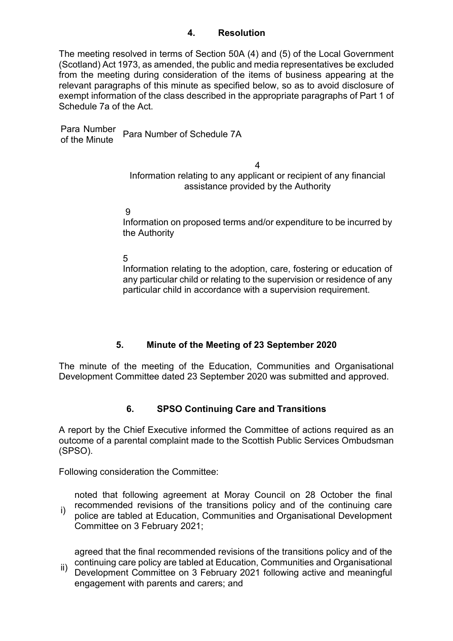## **4. Resolution**

The meeting resolved in terms of Section 50A (4) and (5) of the Local Government (Scotland) Act 1973, as amended, the public and media representatives be excluded from the meeting during consideration of the items of business appearing at the relevant paragraphs of this minute as specified below, so as to avoid disclosure of exempt information of the class described in the appropriate paragraphs of Part 1 of Schedule 7a of the Act.

Para Number Para Number<br>of the Minute Para Number of Schedule 7A

4

Information relating to any applicant or recipient of any financial assistance provided by the Authority

9

Information on proposed terms and/or expenditure to be incurred by the Authority

5

Information relating to the adoption, care, fostering or education of any particular child or relating to the supervision or residence of any particular child in accordance with a supervision requirement.

# **5. Minute of the Meeting of 23 September 2020**

The minute of the meeting of the Education, Communities and Organisational Development Committee dated 23 September 2020 was submitted and approved.

# **6. SPSO Continuing Care and Transitions**

A report by the Chief Executive informed the Committee of actions required as an outcome of a parental complaint made to the Scottish Public Services Ombudsman (SPSO).

Following consideration the Committee:

i) noted that following agreement at Moray Council on 28 October the final recommended revisions of the transitions policy and of the continuing care police are tabled at Education, Communities and Organisational Development Committee on 3 February 2021;

agreed that the final recommended revisions of the transitions policy and of the continuing care policy are tabled at Education, Communities and Organisational

ii) Development Committee on 3 February 2021 following active and meaningful engagement with parents and carers; and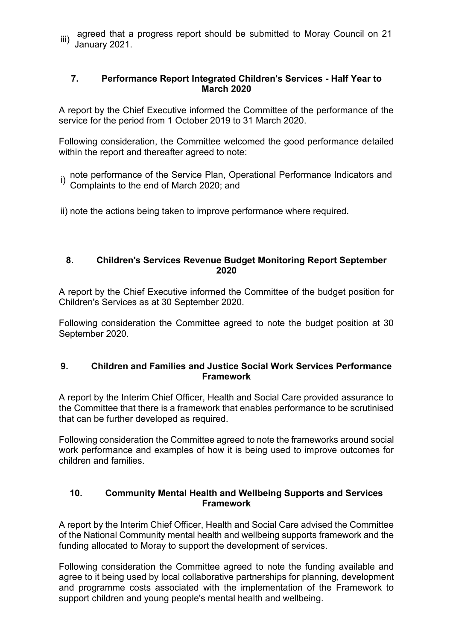iii) agreed that a progress report should be submitted to Moray Council on 21 January 2021.

## **7. Performance Report Integrated Children's Services - Half Year to March 2020**

A report by the Chief Executive informed the Committee of the performance of the service for the period from 1 October 2019 to 31 March 2020.

Following consideration, the Committee welcomed the good performance detailed within the report and thereafter agreed to note:

- i) note performance of the Service Plan, Operational Performance Indicators and ip-<br>() Complaints to the end of March 2020; and Complaints to the end of March 2020; and
- ii) note the actions being taken to improve performance where required.

## **8. Children's Services Revenue Budget Monitoring Report September 2020**

A report by the Chief Executive informed the Committee of the budget position for Children's Services as at 30 September 2020.

Following consideration the Committee agreed to note the budget position at 30 September 2020.

## **9. Children and Families and Justice Social Work Services Performance Framework**

A report by the Interim Chief Officer, Health and Social Care provided assurance to the Committee that there is a framework that enables performance to be scrutinised that can be further developed as required.

Following consideration the Committee agreed to note the frameworks around social work performance and examples of how it is being used to improve outcomes for children and families.

## **10. Community Mental Health and Wellbeing Supports and Services Framework**

A report by the Interim Chief Officer, Health and Social Care advised the Committee of the National Community mental health and wellbeing supports framework and the funding allocated to Moray to support the development of services.

Following consideration the Committee agreed to note the funding available and agree to it being used by local collaborative partnerships for planning, development and programme costs associated with the implementation of the Framework to support children and young people's mental health and wellbeing.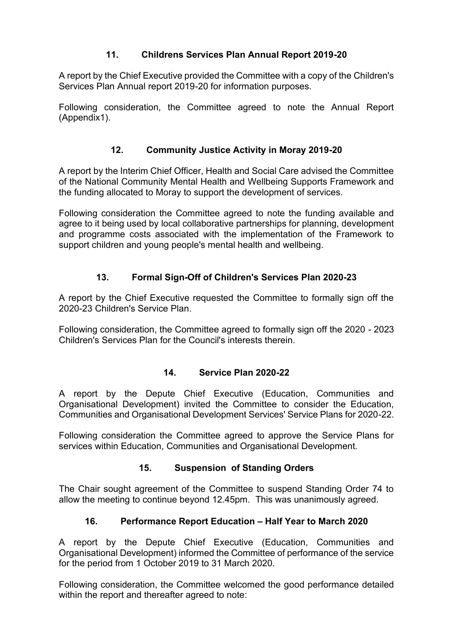# **11. Childrens Services Plan Annual Report 2019-20**

A report by the Chief Executive provided the Committee with a copy of the Children's Services Plan Annual report 2019-20 for information purposes.

Following consideration, the Committee agreed to note the Annual Report (Appendix1).

# **12. Community Justice Activity in Moray 2019-20**

A report by the Interim Chief Officer, Health and Social Care advised the Committee of the National Community Mental Health and Wellbeing Supports Framework and the funding allocated to Moray to support the development of services.

Following consideration the Committee agreed to note the funding available and agree to it being used by local collaborative partnerships for planning, development and programme costs associated with the implementation of the Framework to support children and young people's mental health and wellbeing.

# **13. Formal Sign-Off of Children's Services Plan 2020-23**

A report by the Chief Executive requested the Committee to formally sign off the 2020-23 Children's Service Plan.

Following consideration, the Committee agreed to formally sign off the 2020 - 2023 Children's Services Plan for the Council's interests therein.

### **14. Service Plan 2020-22**

A report by the Depute Chief Executive (Education, Communities and Organisational Development) invited the Committee to consider the Education, Communities and Organisational Development Services' Service Plans for 2020-22.

Following consideration the Committee agreed to approve the Service Plans for services within Education, Communities and Organisational Development.

# **15. Suspension of Standing Orders**

The Chair sought agreement of the Committee to suspend Standing Order 74 to allow the meeting to continue beyond 12.45pm. This was unanimously agreed.

# **16. Performance Report Education – Half Year to March 2020**

A report by the Depute Chief Executive (Education, Communities and Organisational Development) informed the Committee of performance of the service for the period from 1 October 2019 to 31 March 2020.

Following consideration, the Committee welcomed the good performance detailed within the report and thereafter agreed to note: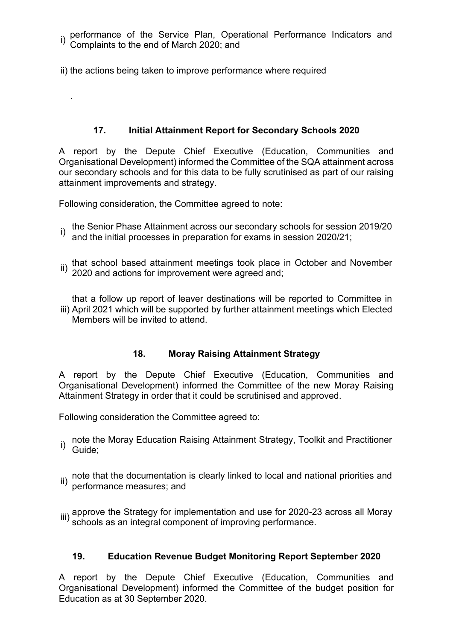i) performance of the Service Plan, Operational Performance Indicators and Complaints to the end of March 2020; and

ii) the actions being taken to improve performance where required

# **17. Initial Attainment Report for Secondary Schools 2020**

A report by the Depute Chief Executive (Education, Communities and Organisational Development) informed the Committee of the SQA attainment across our secondary schools and for this data to be fully scrutinised as part of our raising attainment improvements and strategy.

Following consideration, the Committee agreed to note:

.

- i) the Senior Phase Attainment across our secondary schools for session 2019/20<br>() and the initial processes in preparation for exams in session 2020/21: and the initial processes in preparation for exams in session 2020/21;
- ii) that school based attainment meetings took place in October and November<br><sup>ii)</sup> 2020 and actions for improvement were agreed and;

iii) April 2021 which will be supported by further attainment meetings which Elected that a follow up report of leaver destinations will be reported to Committee in Members will be invited to attend.

# **18. Moray Raising Attainment Strategy**

A report by the Depute Chief Executive (Education, Communities and Organisational Development) informed the Committee of the new Moray Raising Attainment Strategy in order that it could be scrutinised and approved.

Following consideration the Committee agreed to:

- note the Moray Education Raising Attainment Strategy, Toolkit and Practitioner i) lives
- ii) note that the documentation is clearly linked to local and national priorities and<br>ii) norformance measures: and performance measures; and
- $_{\rm iii)}$  approve the Strategy for implementation and use for 2020-23 across all Moray<br>"II) schools as an integral component of improving performance.

# **19. Education Revenue Budget Monitoring Report September 2020**

A report by the Depute Chief Executive (Education, Communities and Organisational Development) informed the Committee of the budget position for Education as at 30 September 2020.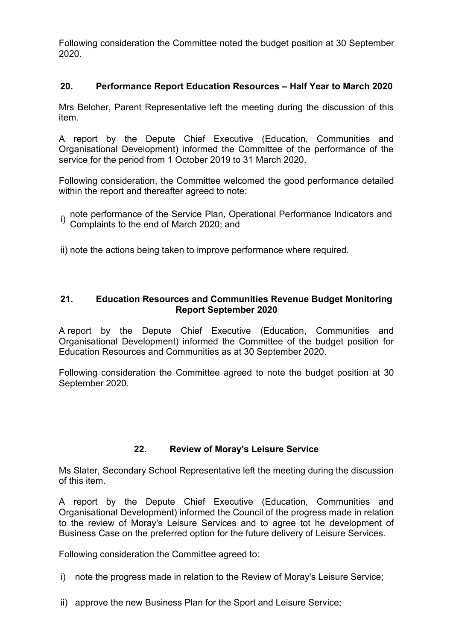Following consideration the Committee noted the budget position at 30 September 2020.

# **20. Performance Report Education Resources – Half Year to March 2020**

Mrs Belcher, Parent Representative left the meeting during the discussion of this item.

A report by the Depute Chief Executive (Education, Communities and Organisational Development) informed the Committee of the performance of the service for the period from 1 October 2019 to 31 March 2020.

Following consideration, the Committee welcomed the good performance detailed within the report and thereafter agreed to note:

i) note performance of the Service Plan, Operational Performance Indicators and<br><sup>i)</sup> Complaints to the end of March 2020; and

ii) note the actions being taken to improve performance where required.

## **21. Education Resources and Communities Revenue Budget Monitoring Report September 2020**

A report by the Depute Chief Executive (Education, Communities and Organisational Development) informed the Committee of the budget position for Education Resources and Communities as at 30 September 2020.

Following consideration the Committee agreed to note the budget position at 30 September 2020.

# **22. Review of Moray's Leisure Service**

Ms Slater, Secondary School Representative left the meeting during the discussion of this item.

A report by the Depute Chief Executive (Education, Communities and Organisational Development) informed the Council of the progress made in relation to the review of Moray's Leisure Services and to agree tot he development of Business Case on the preferred option for the future delivery of Leisure Services.

Following consideration the Committee agreed to:

- i) note the progress made in relation to the Review of Moray's Leisure Service;
- ii) approve the new Business Plan for the Sport and Leisure Service;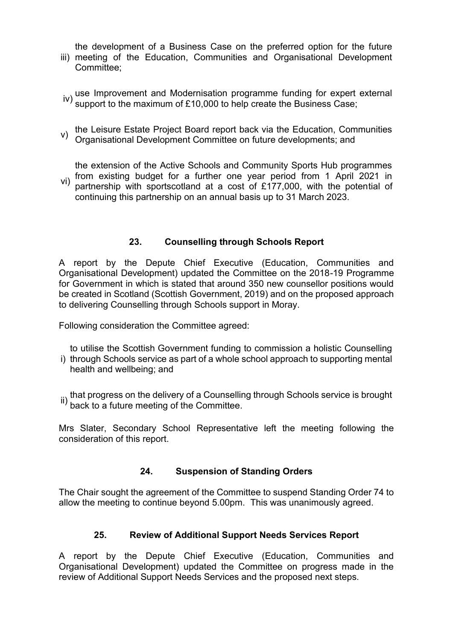the development of a Business Case on the preferred option for the future

- iii) meeting of the Education, Communities and Organisational Development Committee;
- iv) use Improvement and Modernisation programme funding for expert external support to the maximum of £10,000 to help create the Business Case;
- v) the Leisure Estate Project Board report back via the Education, Communities Organisational Development Committee on future developments; and

vi) from existing budget for a further one year period from 1 April 2021 in the extension of the Active Schools and Community Sports Hub programmes partnership with sportscotland at a cost of £177,000, with the potential of

continuing this partnership on an annual basis up to 31 March 2023.

# **23. Counselling through Schools Report**

A report by the Depute Chief Executive (Education, Communities and Organisational Development) updated the Committee on the 2018-19 Programme for Government in which is stated that around 350 new counsellor positions would be created in Scotland (Scottish Government, 2019) and on the proposed approach to delivering Counselling through Schools support in Moray.

Following consideration the Committee agreed:

- i) through Schools service as part of a whole school approach to supporting mental to utilise the Scottish Government funding to commission a holistic Counselling health and wellbeing; and
- ii) that progress on the delivery of a Counselling through Schools service is brought ii) back to a future meeting of the Committee back to a future meeting of the Committee.

Mrs Slater, Secondary School Representative left the meeting following the consideration of this report.

# **24. Suspension of Standing Orders**

The Chair sought the agreement of the Committee to suspend Standing Order 74 to allow the meeting to continue beyond 5.00pm. This was unanimously agreed.

# **25. Review of Additional Support Needs Services Report**

A report by the Depute Chief Executive (Education, Communities and Organisational Development) updated the Committee on progress made in the review of Additional Support Needs Services and the proposed next steps.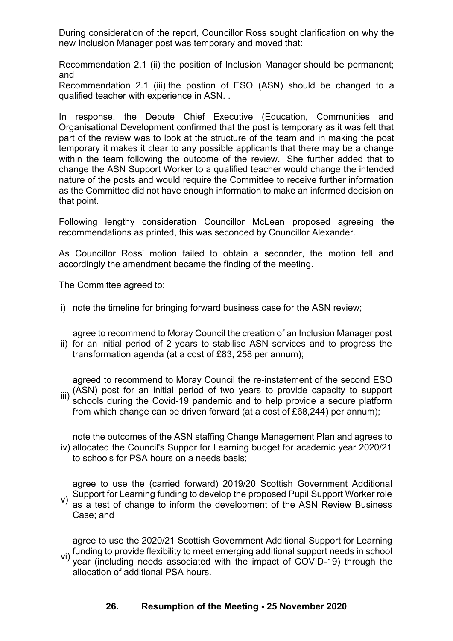During consideration of the report, Councillor Ross sought clarification on why the new Inclusion Manager post was temporary and moved that:

Recommendation 2.1 (ii) the position of Inclusion Manager should be permanent; and

Recommendation 2.1 (iii) the postion of ESO (ASN) should be changed to a qualified teacher with experience in ASN. .

In response, the Depute Chief Executive (Education, Communities and Organisational Development confirmed that the post is temporary as it was felt that part of the review was to look at the structure of the team and in making the post temporary it makes it clear to any possible applicants that there may be a change within the team following the outcome of the review. She further added that to change the ASN Support Worker to a qualified teacher would change the intended nature of the posts and would require the Committee to receive further information as the Committee did not have enough information to make an informed decision on that point.

Following lengthy consideration Councillor McLean proposed agreeing the recommendations as printed, this was seconded by Councillor Alexander.

As Councillor Ross' motion failed to obtain a seconder, the motion fell and accordingly the amendment became the finding of the meeting.

The Committee agreed to:

i) note the timeline for bringing forward business case for the ASN review;

ii) for an initial period of 2 years to stabilise ASN services and to progress the agree to recommend to Moray Council the creation of an Inclusion Manager post transformation agenda (at a cost of £83, 258 per annum);

iii) (ASN) post for an initial period of two years to provide capacity to support agreed to recommend to Moray Council the re-instatement of the second ESO schools during the Covid-19 pandemic and to help provide a secure platform from which change can be driven forward (at a cost of £68,244) per annum);

iv) allocated the Council's Suppor for Learning budget for academic year 2020/21 note the outcomes of the ASN staffing Change Management Plan and agrees to to schools for PSA hours on a needs basis;

v) agree to use the (carried forward) 2019/20 Scottish Government Additional Support for Learning funding to develop the proposed Pupil Support Worker role as a test of change to inform the development of the ASN Review Business Case; and

vi) funding to provide flexibility to meet emerging additional support needs in school<br>Vi) yoor (including needs, associated with the impact of COVID 10) through the agree to use the 2020/21 Scottish Government Additional Support for Learning year (including needs associated with the impact of COVID-19) through the allocation of additional PSA hours.

# **26. Resumption of the Meeting - 25 November 2020**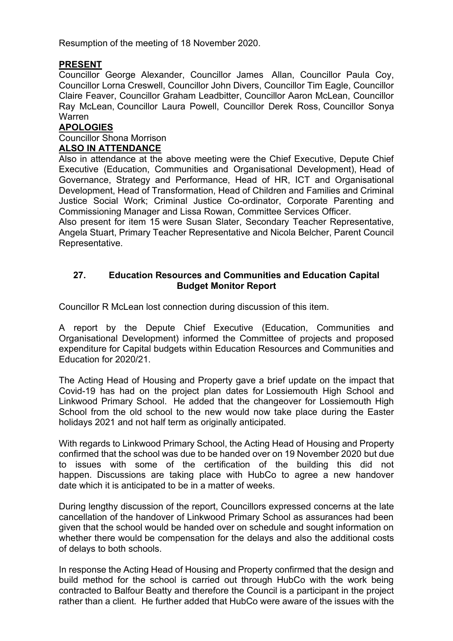Resumption of the meeting of 18 November 2020.

# **PRESENT**

Councillor George Alexander, Councillor James Allan, Councillor Paula Coy, Councillor Lorna Creswell, Councillor John Divers, Councillor Tim Eagle, Councillor Claire Feaver, Councillor Graham Leadbitter, Councillor Aaron McLean, Councillor Ray McLean, Councillor Laura Powell, Councillor Derek Ross, Councillor Sonya Warren

## **APOLOGIES**

#### Councillor Shona Morrison

### **ALSO IN ATTENDANCE**

Also in attendance at the above meeting were the Chief Executive, Depute Chief Executive (Education, Communities and Organisational Development), Head of Governance, Strategy and Performance, Head of HR, ICT and Organisational Development, Head of Transformation, Head of Children and Families and Criminal Justice Social Work; Criminal Justice Co-ordinator, Corporate Parenting and Commissioning Manager and Lissa Rowan, Committee Services Officer.

Also present for item 15 were Susan Slater, Secondary Teacher Representative, Angela Stuart, Primary Teacher Representative and Nicola Belcher, Parent Council Representative.

## **27. Education Resources and Communities and Education Capital Budget Monitor Report**

Councillor R McLean lost connection during discussion of this item.

A report by the Depute Chief Executive (Education, Communities and Organisational Development) informed the Committee of projects and proposed expenditure for Capital budgets within Education Resources and Communities and Education for 2020/21.

The Acting Head of Housing and Property gave a brief update on the impact that Covid-19 has had on the project plan dates for Lossiemouth High School and Linkwood Primary School. He added that the changeover for Lossiemouth High School from the old school to the new would now take place during the Easter holidays 2021 and not half term as originally anticipated.

With regards to Linkwood Primary School, the Acting Head of Housing and Property confirmed that the school was due to be handed over on 19 November 2020 but due to issues with some of the certification of the building this did not happen. Discussions are taking place with HubCo to agree a new handover date which it is anticipated to be in a matter of weeks.

During lengthy discussion of the report, Councillors expressed concerns at the late cancellation of the handover of Linkwood Primary School as assurances had been given that the school would be handed over on schedule and sought information on whether there would be compensation for the delays and also the additional costs of delays to both schools.

In response the Acting Head of Housing and Property confirmed that the design and build method for the school is carried out through HubCo with the work being contracted to Balfour Beatty and therefore the Council is a participant in the project rather than a client. He further added that HubCo were aware of the issues with the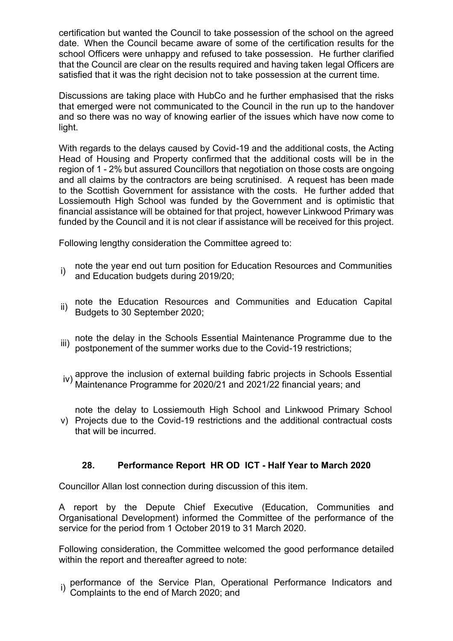certification but wanted the Council to take possession of the school on the agreed date. When the Council became aware of some of the certification results for the school Officers were unhappy and refused to take possession. He further clarified that the Council are clear on the results required and having taken legal Officers are satisfied that it was the right decision not to take possession at the current time.

Discussions are taking place with HubCo and he further emphasised that the risks that emerged were not communicated to the Council in the run up to the handover and so there was no way of knowing earlier of the issues which have now come to light.

With regards to the delays caused by Covid-19 and the additional costs, the Acting Head of Housing and Property confirmed that the additional costs will be in the region of 1 - 2% but assured Councillors that negotiation on those costs are ongoing and all claims by the contractors are being scrutinised. A request has been made to the Scottish Government for assistance with the costs. He further added that Lossiemouth High School was funded by the Government and is optimistic that financial assistance will be obtained for that project, however Linkwood Primary was funded by the Council and it is not clear if assistance will be received for this project.

Following lengthy consideration the Committee agreed to:

- i) note the year end out turn position for Education Resources and Communities and Education budgets during 2019/20;
- ii) note the Education Resources and Communities and Education Capital Budgets to 30 September 2020;
- iii) note the delay in the Schools Essential Maintenance Programme due to the postponement of the summer works due to the Covid-19 restrictions;
- iv) approve the inclusion of external building fabric projects in Schools Essential<br>(iv) Maintenance Programme for 2020/21 and 2021/22 financial vector and Maintenance Programme for 2020/21 and 2021/22 financial years; and
- v) Projects due to the Covid-19 restrictions and the additional contractual costs note the delay to Lossiemouth High School and Linkwood Primary School that will be incurred.

# **28. Performance Report HR OD ICT - Half Year to March 2020**

Councillor Allan lost connection during discussion of this item.

A report by the Depute Chief Executive (Education, Communities and Organisational Development) informed the Committee of the performance of the service for the period from 1 October 2019 to 31 March 2020.

Following consideration, the Committee welcomed the good performance detailed within the report and thereafter agreed to note:

i) performance of the Service Plan, Operational Performance Indicators and Complaints to the end of March 2020; and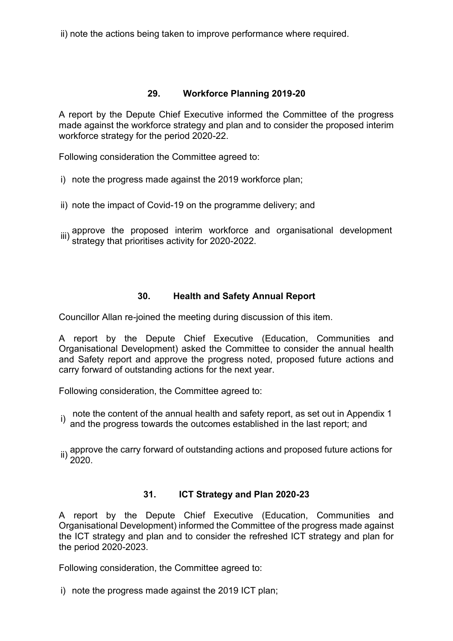ii) note the actions being taken to improve performance where required.

## **29. Workforce Planning 2019-20**

A report by the Depute Chief Executive informed the Committee of the progress made against the workforce strategy and plan and to consider the proposed interim workforce strategy for the period 2020-22.

Following consideration the Committee agreed to:

- i) note the progress made against the 2019 workforce plan;
- ii) note the impact of Covid-19 on the programme delivery; and
- iii) approve the proposed interim workforce and organisational development<br><sup>iii)</sup> strategy that prioritises activity for 2020-2022.

# **30. Health and Safety Annual Report**

Councillor Allan re-joined the meeting during discussion of this item.

A report by the Depute Chief Executive (Education, Communities and Organisational Development) asked the Committee to consider the annual health and Safety report and approve the progress noted, proposed future actions and carry forward of outstanding actions for the next year.

Following consideration, the Committee agreed to:

- i) note the content of the annual health and safety report, as set out in Appendix 1<br><sup>i)</sup> and the progress towards the outcomes established in the last report; and
- ii) approve the carry forward of outstanding actions and proposed future actions for<br>2020.

# **31. ICT Strategy and Plan 2020-23**

A report by the Depute Chief Executive (Education, Communities and Organisational Development) informed the Committee of the progress made against the ICT strategy and plan and to consider the refreshed ICT strategy and plan for the period 2020-2023.

Following consideration, the Committee agreed to:

i) note the progress made against the 2019 ICT plan;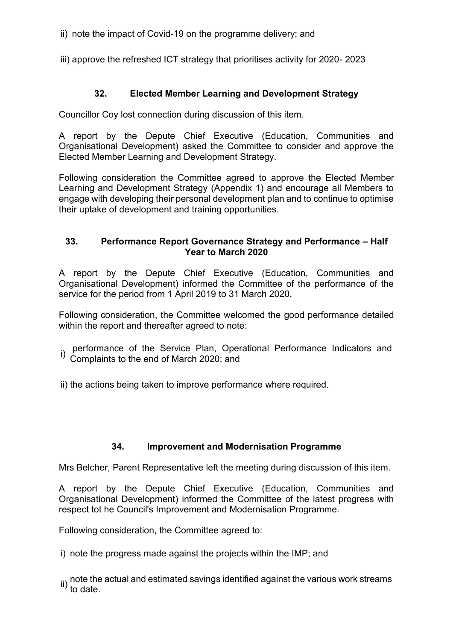ii) note the impact of Covid-19 on the programme delivery; and

iii) approve the refreshed ICT strategy that prioritises activity for 2020- 2023

# **32. Elected Member Learning and Development Strategy**

Councillor Coy lost connection during discussion of this item.

A report by the Depute Chief Executive (Education, Communities and Organisational Development) asked the Committee to consider and approve the Elected Member Learning and Development Strategy.

Following consideration the Committee agreed to approve the Elected Member Learning and Development Strategy (Appendix 1) and encourage all Members to engage with developing their personal development plan and to continue to optimise their uptake of development and training opportunities.

### **33. Performance Report Governance Strategy and Performance – Half Year to March 2020**

A report by the Depute Chief Executive (Education, Communities and Organisational Development) informed the Committee of the performance of the service for the period from 1 April 2019 to 31 March 2020.

Following consideration, the Committee welcomed the good performance detailed within the report and thereafter agreed to note:

- <sub>i)</sub> performance of the Service Plan, Operational Performance Indicators and<br><sup>i)</sup> Complaints to the end of March 2020; and
- ii) the actions being taken to improve performance where required.

### **34. Improvement and Modernisation Programme**

Mrs Belcher, Parent Representative left the meeting during discussion of this item.

A report by the Depute Chief Executive (Education, Communities and Organisational Development) informed the Committee of the latest progress with respect tot he Council's Improvement and Modernisation Programme.

Following consideration, the Committee agreed to:

i) note the progress made against the projects within the IMP; and

ii) note the actual and estimated savings identified against the various work streams<br>ii) to date.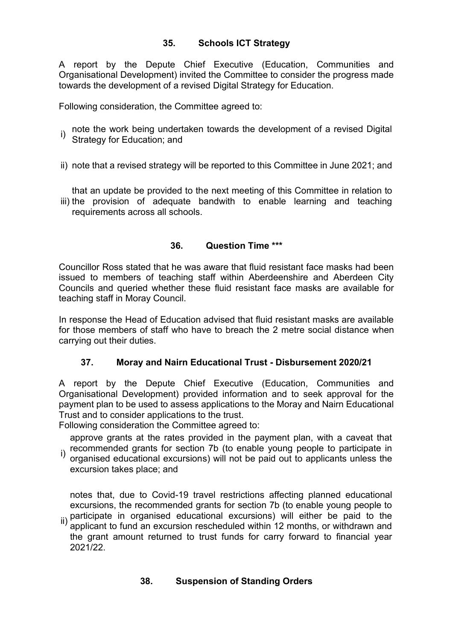# **35. Schools ICT Strategy**

A report by the Depute Chief Executive (Education, Communities and Organisational Development) invited the Committee to consider the progress made towards the development of a revised Digital Strategy for Education.

Following consideration, the Committee agreed to:

- note the work being undertaken towards the development of a revised Digital Strategy for Education; and
- ii) note that a revised strategy will be reported to this Committee in June 2021; and

iii) the provision of adequate bandwith to enable learning and teaching that an update be provided to the next meeting of this Committee in relation to requirements across all schools.

## **36. Question Time \*\*\***

Councillor Ross stated that he was aware that fluid resistant face masks had been issued to members of teaching staff within Aberdeenshire and Aberdeen City Councils and queried whether these fluid resistant face masks are available for teaching staff in Moray Council.

In response the Head of Education advised that fluid resistant masks are available for those members of staff who have to breach the 2 metre social distance when carrying out their duties.

# **37. Moray and Nairn Educational Trust - Disbursement 2020/21**

A report by the Depute Chief Executive (Education, Communities and Organisational Development) provided information and to seek approval for the payment plan to be used to assess applications to the Moray and Nairn Educational Trust and to consider applications to the trust.

Following consideration the Committee agreed to:

i) recommended grants for section 7b (to enable young people to participate in i)<br>i) erganised educational exergions) will not be paid out to applicants unless the approve grants at the rates provided in the payment plan, with a caveat that

organised educational excursions) will not be paid out to applicants unless the excursion takes place; and

notes that, due to Covid-19 travel restrictions affecting planned educational excursions, the recommended grants for section 7b (to enable young people to participate in organised educational excursions) will either be paid to the

ii) applicant to fund an excursion rescheduled within 12 months, or withdrawn and the grant amount returned to trust funds for carry forward to financial year 2021/22.

# **38. Suspension of Standing Orders**